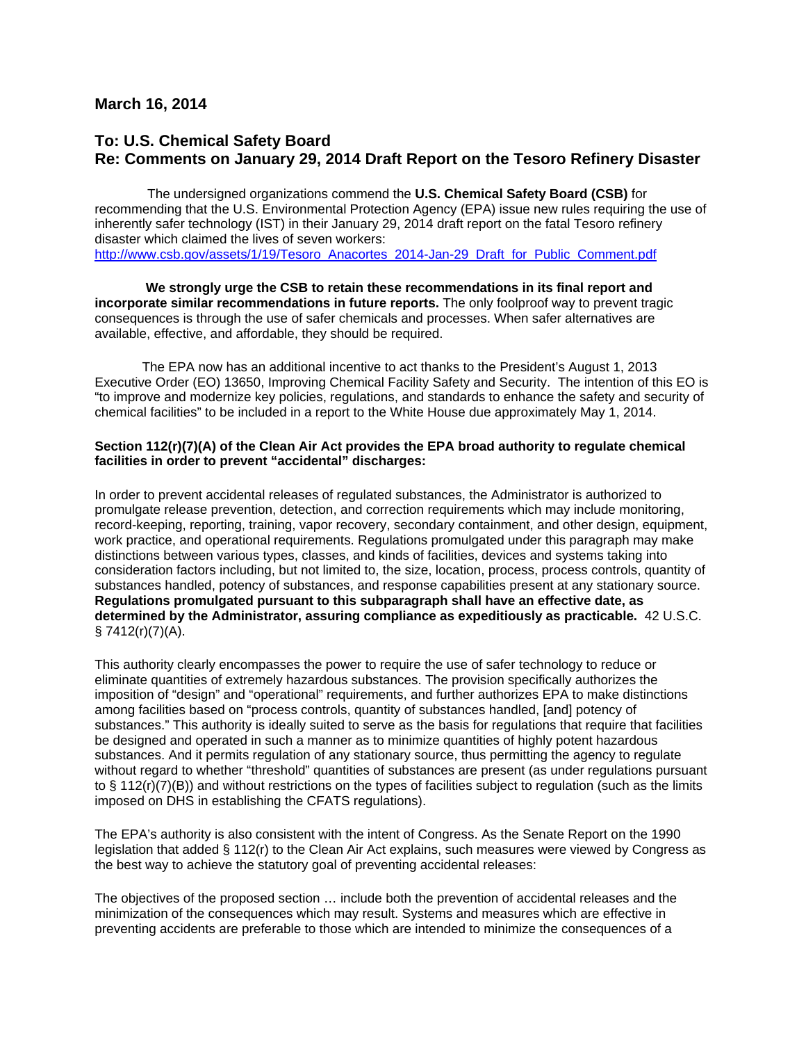## **March 16, 2014**

## **To: U.S. Chemical Safety Board Re: Comments on January 29, 2014 Draft Report on the Tesoro Refinery Disaster**

 The undersigned organizations commend the **U.S. Chemical Safety Board (CSB)** for recommending that the U.S. Environmental Protection Agency (EPA) issue new rules requiring the use of inherently safer technology (IST) in their January 29, 2014 draft report on the fatal Tesoro refinery disaster which claimed the lives of seven workers: [http://www.csb.gov/assets/1/19/Tesoro\\_Anacortes\\_2014-Jan-29\\_Draft\\_for\\_Public\\_Comment.pdf](http://www.csb.gov/assets/1/19/Tesoro_Anacortes_2014-Jan-29_Draft_for_Public_Comment.pdf)

**We strongly urge the CSB to retain these recommendations in its final report and incorporate similar recommendations in future reports.** The only foolproof way to prevent tragic consequences is through the use of safer chemicals and processes. When safer alternatives are available, effective, and affordable, they should be required.

The EPA now has an additional incentive to act thanks to the President's August 1, 2013 Executive Order (EO) 13650, Improving Chemical Facility Safety and Security. The intention of this EO is "to improve and modernize key policies, regulations, and standards to enhance the safety and security of chemical facilities" to be included in a report to the White House due approximately May 1, 2014.

## **Section 112(r)(7)(A) of the Clean Air Act provides the EPA broad authority to regulate chemical facilities in order to prevent "accidental" discharges:**

In order to prevent accidental releases of regulated substances, the Administrator is authorized to promulgate release prevention, detection, and correction requirements which may include monitoring, record-keeping, reporting, training, vapor recovery, secondary containment, and other design, equipment, work practice, and operational requirements. Regulations promulgated under this paragraph may make distinctions between various types, classes, and kinds of facilities, devices and systems taking into consideration factors including, but not limited to, the size, location, process, process controls, quantity of substances handled, potency of substances, and response capabilities present at any stationary source. **Regulations promulgated pursuant to this subparagraph shall have an effective date, as determined by the Administrator, assuring compliance as expeditiously as practicable.** 42 U.S.C.  $§ 7412(r)(7)(A).$ 

This authority clearly encompasses the power to require the use of safer technology to reduce or eliminate quantities of extremely hazardous substances. The provision specifically authorizes the imposition of "design" and "operational" requirements, and further authorizes EPA to make distinctions among facilities based on "process controls, quantity of substances handled, [and] potency of substances." This authority is ideally suited to serve as the basis for regulations that require that facilities be designed and operated in such a manner as to minimize quantities of highly potent hazardous substances. And it permits regulation of any stationary source, thus permitting the agency to regulate without regard to whether "threshold" quantities of substances are present (as under regulations pursuant to § 112(r)(7)(B)) and without restrictions on the types of facilities subject to regulation (such as the limits imposed on DHS in establishing the CFATS regulations).

The EPA's authority is also consistent with the intent of Congress. As the Senate Report on the 1990 legislation that added § 112(r) to the Clean Air Act explains, such measures were viewed by Congress as the best way to achieve the statutory goal of preventing accidental releases:

The objectives of the proposed section … include both the prevention of accidental releases and the minimization of the consequences which may result. Systems and measures which are effective in preventing accidents are preferable to those which are intended to minimize the consequences of a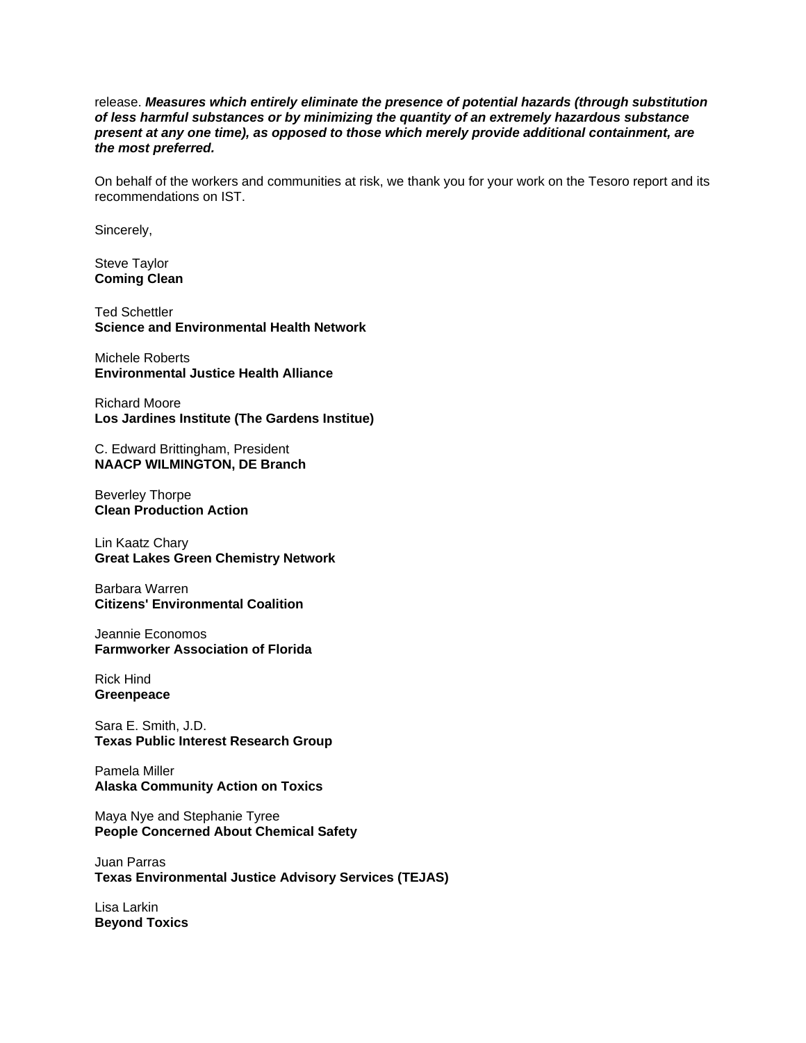release. *Measures which entirely eliminate the presence of potential hazards (through substitution of less harmful substances or by minimizing the quantity of an extremely hazardous substance present at any one time), as opposed to those which merely provide additional containment, are the most preferred.*

On behalf of the workers and communities at risk, we thank you for your work on the Tesoro report and its recommendations on IST.

Sincerely,

Steve Taylor **Coming Clean**

Ted Schettler **Science and Environmental Health Network**

Michele Roberts **Environmental Justice Health Alliance** 

Richard Moore **Los Jardines Institute (The Gardens Institue)**

C. Edward Brittingham, President **NAACP WILMINGTON, DE Branch**

Beverley Thorpe **Clean Production Action**

Lin Kaatz Chary **Great Lakes Green Chemistry Network**

Barbara Warren **Citizens' Environmental Coalition**

Jeannie Economos **Farmworker Association of Florida**

Rick Hind **Greenpeace**

Sara E. Smith, J.D. **Texas Public Interest Research Group**

Pamela Miller **Alaska Community Action on Toxics**

Maya Nye and Stephanie Tyree **People Concerned About Chemical Safety**

Juan Parras **Texas Environmental Justice Advisory Services (TEJAS)**

Lisa Larkin **Beyond Toxics**